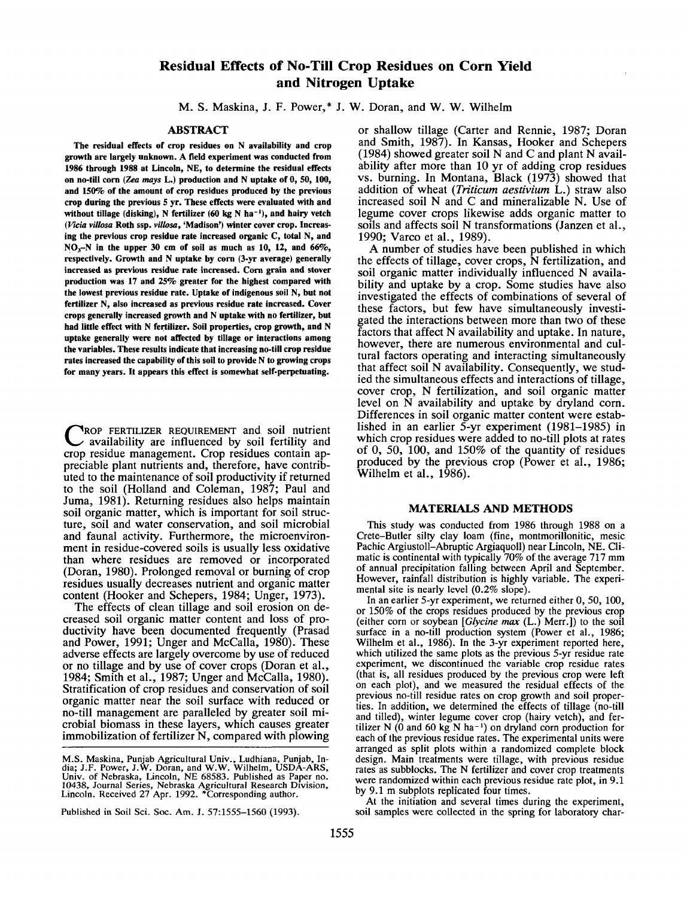# **Residual Effects of No-Till Crop Residues on Corn Yield and Nitrogen Uptake**

M. S. Maskina, J. F. Power,\* J. W. Doran, and W. W. Wilhelm

# **ABSTRACT**

**The residual effects of crop residues on N availability and crop growth are largely unknown. A field experiment was conducted from 1986 through 1988 at Lincoln, NE, to determine the residual effects on no-till corn** *(Zea mays* **L.) production and N uptake of 0, 50, 100, and 150% of the amount of crop residues produced by the previous crop during the previous 5 yr. These effects were evaluated with and without tillage (disking), N fertilizer (60 kg N ha-<sup>1</sup> ), and hairy vetch** *(Vicia villosa* **Roth ssp.** *villosa,* **'Madison') winter cover crop. Increasing the previous crop residue rate increased organic C, total N, and NOj-N in the upper 30 cm of soil as much as 10, 12, and 66%, respectively. Growth and N uptake by corn (3-yr average) generally increased as previous residue rate increased. Corn grain and stover production was 17 and 25% greater for the highest compared with the lowest previous residue rate. Uptake of indigenous soil N, but not fertilizer N, also increased as previous residue rate increased. Cover crops generally increased growth and N uptake with no fertilizer, but had little effect with N fertilizer. Soil properties, crop growth, and N uptake generally were not affected by tillage or interactions among the variables. These results indicate that increasing no-till crop residue rates increased the capability of this soil to provide N to growing crops for many years. It appears this effect is somewhat self-perpetuating.**

CROP FERTILIZER REQUIREMENT and soil nutrient availability are influenced by soil fertility and crop residue management. Crop residues contain ap-ROP FERTILIZER REQUIREMENT and soil nutrient availability are influenced by soil fertility and preciable plant nutrients and, therefore, have contributed to the maintenance of soil productivity if returned to the soil (Holland and Coleman, 1987; Paul and Juma, 1981). Returning residues also helps maintain soil organic matter, which is important for soil structure, soil and water conservation, and soil microbial and faunal activity. Furthermore, the microenvironment in residue-covered soils is usually less oxidative than where residues are removed or incorporated (Doran, 1980). Prolonged removal or burning of crop residues usually decreases nutrient and organic matter content (Hooker and Schepers, 1984; Unger, 1973).

The effects of clean tillage and soil erosion on decreased soil organic matter content and loss of productivity have been documented frequently (Prasad and Power, 1991; Unger and McCalla, 1980). These adverse effects are largely overcome by use of reduced or no tillage and by use of cover crops (Doran et al., 1984; Smith et al., 1987; Unger and McCalla, 1980). Stratification of crop residues and conservation of soil organic matter near the soil surface with reduced or no-till management are paralleled by greater soil microbial biomass in these layers, which causes greater immobilization of fertilizer N, compared with plowing

Published in Soil Sci. Soc. Am. J. 57:1555-1560 (1993).

or shallow tillage (Carter and Rennie, 1987; Doran and Smith, 1987). In Kansas, Hooker and Schepers (1984) showed greater soil N and C and plant N availability after more than 10 yr of adding crop residues vs. burning. In Montana, Black (1973) showed that addition of wheat *(Triticum aestivium* L.) straw also increased soil N and C and mineralizable N. Use of legume cover crops likewise adds organic matter to soils and affects soil N transformations (Janzen et al., 1990; Varco et al., 1989).

A number of studies have been published in which the effects of tillage, cover crops, N fertilization, and soil organic matter individually influenced N availability and uptake by a crop. Some studies have also investigated the effects of combinations of several of these factors, but few have simultaneously investigated the interactions between more than two of these factors that affect N availability and uptake. In nature, however, there are numerous environmental and cultural factors operating and interacting simultaneously that affect soil N availability. Consequently, we studied the simultaneous effects and interactions of tillage, cover crop, N fertilization, and soil organic matter level on N availability and uptake by dryland corn. Differences in soil organic matter content were established in an earlier 5-yr experiment (1981-1985) in which crop residues were added to no-till plots at rates of  $0$ ,  $50$ ,  $100$ , and  $150\%$  of the quantity of residues produced by the previous crop (Power et al., 1986; Wilhelm et al., 1986).

### **MATERIALS AND METHODS**

This study was conducted from 1986 through 1988 on a Crete-Butler silty clay loam (fine, montmorillonitic, mesic Pachic Argiustoll-Abruptic Argiaquoll) near Lincoln, NE. Climatic is continental with typically 70% of the average 717 mm of annual precipitation falling between April and September. However, rainfall distribution is highly variable. The experimental site is nearly level (0.2% slope).

In an earlier 5-yr experiment, we returned either 0, 50, 100, or 150% of the crops residues produced by the previous crop (either corn or soybean *[Glycine max* (L.) Merr.]) to the soil surface in a no-till production system (Power et al., 1986; Wilhelm et al., 1986). In the 3-yr experiment reported here, which utilized the same plots as the previous 5-yr residue rate experiment, we discontinued the variable crop residue rates (that is, all residues produced by the previous crop were left on each plot), and we measured the residual effects of the previous no-till residue rates on crop growth and soil properties. In addition, we determined the effects of tillage (no-till and tilled), winter legume cover crop (hairy vetch), and fertilizer N  $(0 \text{ and } 60 \text{ kg N} \text{ ha}^{-1})$  on dryland corn production for each of the previous residue rates. The experimental units were arranged as split plots within a randomized complete block design. Main treatments were tillage, with previous residue rates as subblocks. The N fertilizer and cover crop treatments were randomized within each previous residue rate plot, in 9.1 by 9.1 m subplots replicated four times.

At the initiation and several times during the experiment, soil samples were collected in the spring for laboratory char-

M.S. Maskina, Punjab Agricultural Univ., Ludhiana, Punjab, India; J.F. Power, J.W. Doran, and W.W. Wilhelm, USDA-ARS, Univ. of Nebraska, Lincoln, NE 68583. Published as Paper no. 10438, Journal Series, Nebraska Agricultura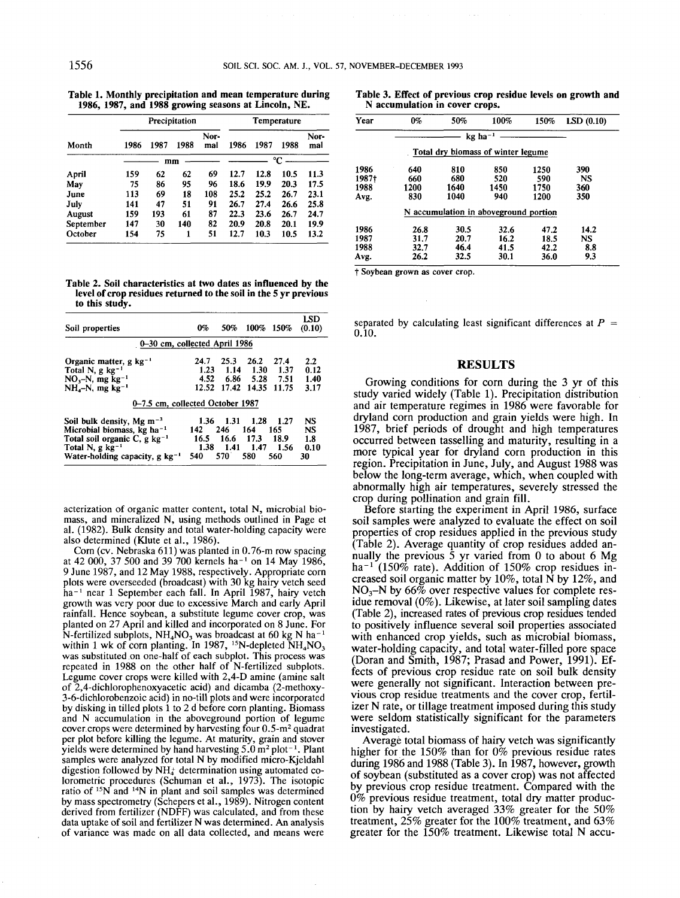**Table 1. Monthly precipitation and mean temperature during 1986, 1987, and 1988 growing seasons at Lincoln,** NE.

| Month     | Precipitation |      |      |             | Temperature |      |      |             |
|-----------|---------------|------|------|-------------|-------------|------|------|-------------|
|           | 1986          | 1987 | 1988 | Nor-<br>mal | 1986        | 1987 | 1988 | Nor-<br>mal |
|           | °C<br>mm      |      |      |             |             |      |      |             |
| April     | 159           | 62   | 62   | 69          | 12.7        | 12.8 | 10.5 | 11.3        |
| May       | 75            | 86   | 95   | 96          | 18.6        | 19.9 | 20.3 | 17.5        |
| June      | 113           | 69   | 18   | 108         | 25.2        | 25.2 | 26.7 | 23.1        |
| July      | 141           | 47   | 51   | 91          | 26.7        | 27.4 | 26.6 | 25.8        |
| August    | 159           | 193  | 61   | 87          | 22.3        | 23.6 | 26.7 | 24.7        |
| September | 147           | 30   | 140  | 82          | 20.9        | 20.8 | 20.1 | 19.9        |
| October   | 154           | 75   | 1    | 51          | 12.7        | 10.3 | 10.5 | 13.2        |

**Table 2. Soil characteristics at two dates as influenced by the level of crop residues returned to the soil in the 5 yr previous to this study.**

| Soil properties                                                                                                                                                                                    | 0%                                 |                                       | 50% 100% 150%                      |                                     | LSD<br>(0.10)                         |
|----------------------------------------------------------------------------------------------------------------------------------------------------------------------------------------------------|------------------------------------|---------------------------------------|------------------------------------|-------------------------------------|---------------------------------------|
| 0-30 cm, collected April 1986                                                                                                                                                                      |                                    |                                       |                                    |                                     |                                       |
| Organic matter, g $kg^{-1}$<br>Total N, $g$ kg <sup>-1</sup><br>$NO3-N$ , mg kg <sup>-1</sup><br>$NH4-N$ , mg kg <sup>-1</sup>                                                                     | 24.7<br>1.23<br>4.52<br>12.52      | 25.3<br>1.14<br>6.86<br>17.42         | 26.2<br>- 1.30<br>5.28             | 27.4<br>1.37<br>7.51<br>14.35 11.75 | $2.2^{\circ}$<br>0.12<br>1.40<br>3.17 |
| 0-7.5 cm, collected October 1987                                                                                                                                                                   |                                    |                                       |                                    |                                     |                                       |
| Soil bulk density, Mg $m^{-3}$<br>Microbial biomass, $kg$ ha <sup>-1</sup><br>Total soil organic $C$ , g $kg^{-1}$<br>Total N, $g$ kg <sup>-1</sup><br>Water-holding capacity, $g \text{ kg}^{-1}$ | 1.36<br>142<br>16.5<br>1.38<br>540 | 1.31<br>246<br>16.6<br>$-1.41$<br>570 | 1.28<br>164<br>17.3<br>1.47<br>580 | 1.27<br>165<br>18.9<br>1.56<br>560  | NS<br>NS<br>1.8<br>0.10<br>30         |

acterization of organic matter content, total N, microbial biomass, and mineralized N, using methods outlined in Page et al. (1982). Bulk density and total water-holding capacity were also determined (Klute et al., 1986).

Corn (cv. Nebraska 611) was planted in 0.76-m row spacing at 42 000, 37 500 and 39 700 kernels ha-<sup>1</sup> on 14 May 1986, 9 June 1987, and 12 May 1988, respectively. Appropriate corn plots were overseeded (broadcast) with 30 kg hairy vetch seed ha<sup>-1</sup> near 1 September each fall. In April 1987, hairy vetch growth was very poor due to excessive March and early April rainfall. Hence soybean, a substitute legume cover crop, was planted on 27 April and killed and incorporated on 8 June. For N-fertilized subplots,  $NH<sub>4</sub>NO<sub>3</sub>$  was broadcast at 60 kg N ha<sup>-1</sup> within 1 wk of corn planting. In 1987, <sup>15</sup>N-depleted  $NH<sub>4</sub>NO<sub>3</sub>$ was substituted on one-half of each subplot. This process was repeated in 1988 on the other half of N-fertilized subplots. Legume cover crops were killed with 2,4-D amine (amine salt of 2,4-dichlorophenoxyacetic acid) and dicamba (2-methoxy-3-6-dichlorobenzoic acid) in no-till plots and were incorporated by disking in tilled plots 1 to 2 d before corn planting. Biomass and N accumulation in the aboveground portion of legume cover.crops were determined by harvesting four 0.5-m<sup>2</sup> quadrat per plot before killing the legume. At maturity, grain and stover yields were determined by hand harvesting  $5.0 \text{ m}^2 \text{ plot}^{-1}$ . Plant samples were analyzed for total N by modified micro-Kjeldahl digestion followed by  $NH_4$  determination using automated colorometric procedures (Schuman et al., 1973). The isotopic ratio of  $15N$  and  $14N$  in plant and soil samples was determined by mass spectrometry (Schepers et al., 1989). Nitrogen content derived from fertilizer (NDFF) was calculated, and from these data uptake of soil and fertilizer N was determined. An analysis of variance was made on all data collected, and means were

**Table 3. Effect of previous crop residue levels on growth and N accumulation in cover crops.**

| Year  | $0\%$ | 50%                                   | 100% | 150% | LSD(0.10) |
|-------|-------|---------------------------------------|------|------|-----------|
|       |       | $kg$ ha <sup>-1</sup>                 |      |      |           |
|       |       | Total dry biomass of winter legume    |      |      |           |
| 1986  | 640   | 810                                   | 850  | 1250 | 390       |
| 1987+ | 660   | 680                                   | 520  | 590  | NS        |
| 1988  | 1200  | 1640                                  | 1450 | 1750 | 360       |
| Avg.  | 830   | 1040                                  | 940  | 1200 | 350       |
|       |       | N accumulation in aboveground portion |      |      |           |
| 1986  | 26.8  | 30.5                                  | 32.6 | 47.2 | 14.2      |
| 1987  | 31.7  | 20.7                                  | 16.2 | 18.5 | NS        |
| 1988  | 32.7  | 46.4                                  | 41.5 | 42.2 | 8.8       |
| Avg.  | 26.2  | 32.5                                  | 30.1 | 36.0 | 9.3       |

**t Soybean grown as cover crop.**

separated by calculating least significant differences at *P =* 0.10.

## **RESULTS**

Growing conditions for corn during the 3 yr of this study varied widely (Table 1). Precipitation distribution and air temperature regimes in 1986 were favorable for dryland corn production and grain yields were high. In 1987, brief periods of drought and high temperatures occurred between tasselling and maturity, resulting in a more typical year for dryland corn production in this region. Precipitation in June, July, and August 1988 was below the long-term average, which, when coupled with abnormally high air temperatures, severely stressed the crop during pollination and grain fill.

Before starting the experiment in April 1986, surface soil samples were analyzed to evaluate the effect on soil properties of crop residues applied in the previous study (Table 2). Average quantity of crop residues added annually the previous 5 yr varied from 0 to about 6 Mg ha<sup>-1</sup> (150% rate). Addition of 150% crop residues increased soil organic matter by 10%, total N by 12%, and  $NO<sub>3</sub>-N$  by 66\% over respective values for complete residue removal (0%). Likewise, at later soil sampling dates (Table 2), increased rates of previous crop residues tended to positively influence several soil properties associated with enhanced crop yields, such as microbial biomass, water-holding capacity, and total water-filled pore space (Doran and Smith, 1987; Prasad and Power, 1991). Effects of previous crop residue rate on soil bulk density were generally not significant. Interaction between previous crop residue treatments and the cover crop, fertilizer N rate, or tillage treatment imposed during this study were seldom statistically significant for the parameters investigated.

Average total biomass of hairy vetch was significantly higher for the 150% than for 0% previous residue rates during 1986 and 1988 (Table 3). In 1987, however, growth of soybean (substituted as a cover crop) was not affected by previous crop residue treatment. Compared with the 0% previous residue treatment, total dry matter production by hairy vetch averaged 33% greater for the 50% treatment, 25% greater for the 100% treatment, and 63% greater for the 150% treatment. Likewise total N accu-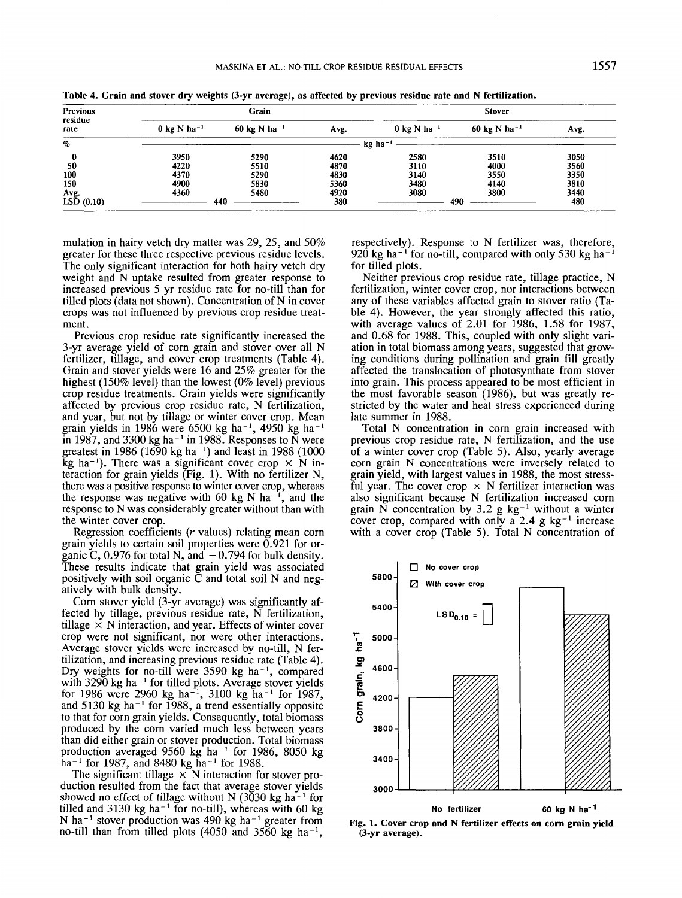| Previous<br>residue<br>rate<br>$\%$<br>50 |                                   | Grain                    |      | <b>Stover</b>                     |                                           |      |  |
|-------------------------------------------|-----------------------------------|--------------------------|------|-----------------------------------|-------------------------------------------|------|--|
|                                           | $0 \text{ kg}$ N ha <sup>-1</sup> | 60 kg N ha <sup>-1</sup> | Avg. | $0 \text{ kg}$ N ha <sup>-1</sup> | $60 \text{ kg} \text{ N} \text{ ha}^{-1}$ | Avg. |  |
|                                           |                                   |                          |      | $kg$ ha <sup>-1</sup>             |                                           |      |  |
|                                           | 3950                              | 5290                     | 4620 | 2580                              | 3510                                      | 3050 |  |
|                                           | 4220                              | 5510                     | 4870 | 3110                              | 4000                                      | 3560 |  |
| 100                                       | 4370                              | 5290                     | 4830 | 3140                              | 3550                                      | 3350 |  |
| 150                                       | 4900                              | 5830                     | 5360 | 3480                              | 4140                                      | 3810 |  |
| Avg.                                      | 4360                              | 5480                     | 4920 | 3080                              | 3800                                      | 3440 |  |
| LSD(0.10)                                 |                                   | 440                      | 380  |                                   | 490                                       | 480  |  |
|                                           |                                   |                          |      |                                   |                                           |      |  |

Table 4. Grain and stover dry weights (3-yr average), as affected by previous residue rate and N fertilization.

mulation in hairy vetch dry matter was 29, 25, and 50% greater for these three respective previous residue levels. The only significant interaction for both hairy vetch dry weight and N uptake resulted from greater response to increased previous 5 yr residue rate for no-till than for tilled plots (data not shown). Concentration of N in cover crops was not influenced by previous crop residue treatment.

Previous crop residue rate significantly increased the 3-yr average yield of corn grain and stover over all N fertilizer, tillage, and cover crop treatments (Table 4). Grain and stover yields were 16 and 25% greater for the highest (150% level) than the lowest (0% level) previous crop residue treatments. Grain yields were significantly affected by previous crop residue rate, N fertilization, and year, but not by tillage or winter cover crop. Mean grain yields in 1986 were  $6500 \text{ kg}$  ha<sup>-1</sup>, 4950 kg ha<sup>-1</sup> in 1987, and 3300 kg ha<sup> $-1$ </sup> in 1988. Responses to  $\overline{N}$  were greatest in 1986 (1690 kg ha<sup>-1</sup>) and least in 1988 (1000  $kg$  ha<sup>-1</sup>). There was a significant cover crop  $\times$  N interaction for grain yields (Fig. 1). With no fertilizer N, there was a positive response to winter cover crop, whereas the response was negative with 60 kg N  $ha^{-1}$ , and the response to N was considerably greater without than with the winter cover crop.

Regression coefficients *(r* values) relating mean corn grain yields to certain soil properties were 0.921 for organic C, 0.976 for total N, and  $-0.794$  for bulk density. These results indicate that grain yield was associated positively with soil organic  $\bar{C}$  and total soil N and negatively with bulk density.

Corn stover yield (3-yr average) was significantly affected by tillage, previous residue rate, N fertilization, tillage  $\times$  N interaction, and year. Effects of winter cover crop were not significant, nor were other interactions. Average stover yields were increased by no-till, N fertilization, and increasing previous residue rate (Table 4). Dry weights for no-till were 3590 kg ha<sup>-1</sup>, compared with  $3290 \text{ kg}$  ha<sup>-1</sup> for tilled plots. Average stover yields for 1986 were 2960 kg ha<sup>-1</sup>, 3100 kg ha<sup>-1</sup> for 1987 and 5130 kg ha<sup>-1</sup> for 1988, a trend essentially opposite to that for corn grain yields. Consequently, total biomass produced by the corn varied much less between years than did either grain or stover production. Total biomass production averaged  $9560 \text{ kg}$  ha<sup>-1</sup> for 1986, 8050 kg  $ha^{-1}$  for 1987, and 8480 kg ha<sup>-1</sup> for 1988

The significant tillage  $\times$  N interaction for stover production resulted from the fact that average stover yields showed no effect of tillage without N  $(3030 \text{ kg} \text{ ha}^{-1}$  for tilled and 3130 kg ha<sup>-1</sup> for no-till), whereas with 60 kg N ha<sup>-1</sup> stover production was  $490 \text{ kg}$  ha<sup>-1</sup> greater from no-till than from tilled plots  $(4050 \text{ and } 3560 \text{ kg ha}^{-1})$ 

respectively). Response to N fertilizer was, therefore, 920 kg ha<sup> $-1$ </sup> for no-till, compared with only 530 kg ha<sup> $-1$ </sup> for tilled plots.

Neither previous crop residue rate, tillage practice, N fertilization, winter cover crop, nor interactions between any of these variables affected grain to stover ratio (Table 4). However, the year strongly affected this ratio, with average values of 2.01 for 1986, 1.58 for 1987, and 0.68 for 1988. This, coupled with only slight variation in total biomass among years, suggested that growing conditions during pollination and grain fill greatly affected the translocation of photosynthate from stover into grain. This process appeared to be most efficient in the most favorable season (1986), but was greatly restricted by the water and heat stress experienced during late summer in 1988.

Total N concentration in corn grain increased with previous crop residue rate, N fertilization, and the use of a winter cover crop (Table 5). Also, yearly average corn grain N concentrations were inversely related to grain yield, with largest values in 1988, the most stressful year. The cover crop  $\times$  N fertilizer interaction was also significant because N fertilization increased corn grain N concentration by  $3.2 \text{ g kg}^{-1}$  without a winter cover crop, compared with only a 2.4 g  $kg^{-1}$  increase with a cover crop (Table 5). Total N concentration of



**Fig. 1. Cover crop and N fertilizer effects on corn grain yield** (3-yr **average).**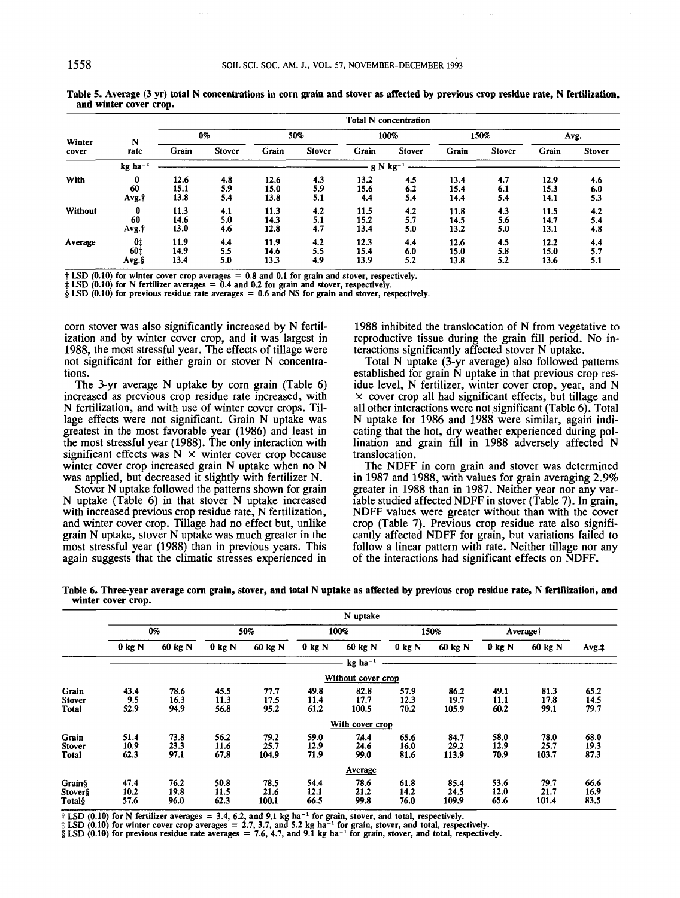| N<br>Winter<br>rate<br>cover |                         |                      |                   |                      |                   |                      | <b>Total N</b> concentration |                      |                   |                      |                   |
|------------------------------|-------------------------|----------------------|-------------------|----------------------|-------------------|----------------------|------------------------------|----------------------|-------------------|----------------------|-------------------|
|                              |                         |                      | 0%                |                      | 50%               |                      | 100%                         |                      | 150%              |                      | Avg.              |
|                              |                         | Grain                | <b>Stover</b>     | Grain                | <b>Stover</b>     | Grain                | <b>Stover</b>                | Grain                | <b>Stover</b>     | Grain                | <b>Stover</b>     |
|                              | $kg$ ha <sup>-1</sup>   |                      |                   |                      |                   |                      | $g N kg-1$                   |                      |                   |                      |                   |
| With                         | 0<br>60<br>Avg.†        | 12.6<br>15.1<br>13.8 | 4.8<br>5.9<br>5.4 | 12.6<br>15.0<br>13.8 | 4.3<br>5.9<br>5.1 | 13.2<br>15.6<br>4.4  | 4.5<br>6.2<br>5.4            | 13.4<br>15.4<br>14.4 | 4.7<br>6.1<br>5.4 | 12.9<br>15.3<br>14.1 | 4.6<br>6.0<br>5.3 |
| Without                      | 0<br>60<br>Avg.+        | 11.3<br>14.6<br>13.0 | 4.1<br>5.0<br>4.6 | 11.3<br>14.3<br>12.8 | 4.2<br>5.1<br>4.7 | 11.5<br>15.2<br>13.4 | 4.2<br>5.7<br>5.0            | 11.8<br>14.5<br>13.2 | 4.3<br>5.6<br>5.0 | 11.5<br>14.7<br>13.1 | 4.2<br>5.4<br>4.8 |
| Average                      | 0‡<br>$60+$<br>$Avg.\S$ | 11.9<br>14.9<br>13.4 | 4.4<br>5.5<br>5.0 | 11.9<br>14.6<br>13.3 | 4.2<br>5.5<br>4.9 | 12.3<br>15.4<br>13.9 | 4.4<br>6.0<br>5.2            | 12.6<br>15.0<br>13.8 | 4.5<br>5.8<br>5.2 | 12.2<br>15.0<br>13.6 | 4.4<br>5.7<br>5.1 |

**Table 5. Average (3 yr) total N concentrations in corn grain and stover as affected by previous crop residue rate, N fertilization, and winter cover crop.**

**t LSD (0.10) for winter cover crop averages = 0.8 and 0.1 for grain and stover, respectively.**

**t LSD (0.10) for N fertilizer averages = 0.4 and 0.2 for grain and stover, respectively.**

**§ LSD (0.10) for previous residue rate averages = 0.6 and NS for grain and stover, respectively.**

corn stover was also significantly increased by N fertilization and by winter cover crop, and it was largest in 1988, the most stressful year. The effects of tillage were not significant for either grain or stover N concentrations.

The 3-yr average N uptake by corn grain (Table 6) increased as previous crop residue rate increased, with N fertilization, and with use of winter cover crops. Tillage effects were not significant. Grain N uptake was greatest in the most favorable year (1986) and least in the most stressful year (1988). The only interaction with significant effects was  $N \times w$  winter cover crop because winter cover crop increased grain N uptake when no N was applied, but decreased it slightly with fertilizer N.

Stover N uptake followed the patterns shown for grain N uptake (Table 6) in that stover N uptake increased with increased previous crop residue rate, N fertilization, and winter cover crop. Tillage had no effect but, unlike grain N uptake, stover N uptake was much greater in the most stressful year (1988) than in previous years. This again suggests that the climatic stresses experienced in

1988 inhibited the translocation of N from vegetative to reproductive tissue during the grain fill period. No interactions significantly affected stover N uptake.

Total N uptake (3-yr average) also followed patterns established for grain N uptake in that previous crop residue level, N fertilizer, winter cover crop, year, and N  $\times$  cover crop all had significant effects, but tillage and all other interactions were not significant (Table 6). Total N uptake for 1986 and 1988 were similar, again indicating that the hot, dry weather experienced during pollination and grain fill in 1988 adversely affected N translocation.

The NDFF in corn grain and stover was determined in 1987 and 1988, with values for grain averaging 2.9% greater in 1988 than in 1987. Neither year nor any variable studied affected NDFF in stover (Table 7). In grain, NDFF values were greater without than with the cover crop (Table 7). Previous crop residue rate also significantly affected NDFF for grain, but variations failed to follow a linear pattern with rate. Neither tillage nor any of the interactions had significant effects on NDFF.

|                                        |                      |                      |                      |                       |                      | N uptake              |                      |                       |                      |                       |                      |
|----------------------------------------|----------------------|----------------------|----------------------|-----------------------|----------------------|-----------------------|----------------------|-----------------------|----------------------|-----------------------|----------------------|
|                                        | $0\%$                |                      |                      | 50%                   |                      | 100%                  |                      | 150%                  |                      | Average†              |                      |
|                                        | 0 kg N               | 60 kg N              | 0 kg N               | 60 kg N               | $0$ kg N             | 60 kg N               | $0$ kg N             | 60 kg N               | $0$ kg N             | 60 kg N               | $Avg.$ ‡             |
|                                        |                      |                      |                      |                       |                      | $kg$ ha <sup>-1</sup> |                      |                       |                      |                       |                      |
|                                        |                      |                      |                      |                       |                      | Without cover crop    |                      |                       |                      |                       |                      |
| Grain<br><b>Stover</b><br><b>Total</b> | 43.4<br>9.5<br>52.9  | 78.6<br>16.3<br>94.9 | 45.5<br>11.3<br>56.8 | 77.7<br>17.5<br>95.2  | 49.8<br>11.4<br>61.2 | 82.8<br>17.7<br>100.5 | 57.9<br>12.3<br>70.2 | 86.2<br>19.7<br>105.9 | 49.1<br>11.1<br>60.2 | 81.3<br>17.8<br>99.1  | 65.2<br>14.5<br>79.7 |
|                                        |                      |                      |                      |                       |                      | With cover crop       |                      |                       |                      |                       |                      |
| Grain<br><b>Stover</b><br><b>Total</b> | 51.4<br>10.9<br>62.3 | 73.8<br>23.3<br>97.1 | 56.2<br>11.6<br>67.8 | 79.2<br>25.7<br>104.9 | 59.0<br>12.9<br>71.9 | 74.4<br>24.6<br>99.0  | 65.6<br>16.0<br>81.6 | 84.7<br>29.2<br>113.9 | 58.0<br>12.9<br>70.9 | 78.0<br>25.7<br>103.7 | 68.0<br>19.3<br>87.3 |
|                                        |                      |                      |                      |                       |                      | Average               |                      |                       |                      |                       |                      |
| Grain§<br><b>Stover</b> §<br>Total§    | 47.4<br>10.2<br>57.6 | 76.2<br>19.8<br>96.0 | 50.8<br>11.5<br>62.3 | 78.5<br>21.6<br>100.1 | 54.4<br>12.1<br>66.5 | 78.6<br>21.2<br>99.8  | 61.8<br>14.2<br>76.0 | 85.4<br>24.5<br>109.9 | 53.6<br>12.0<br>65.6 | 79.7<br>21.7<br>101.4 | 66.6<br>16.9<br>83.5 |

**Table 6. Three-year average corn grain, stover, and total N uptake as affected by previous crop residue rate, N fertilization, and winter cover crop.**

† LSD (0.10) for N fertilizer averages = 3.4, 6.2, and 9.1 kg ha<sup>-1</sup> for grain, stover, and total, respectively.<br>‡ LSD (0.10) for winter cover crop averages = 2.7, 3.7, and 5.2 kg ha<sup>-1</sup> for grain, stover, and total, resp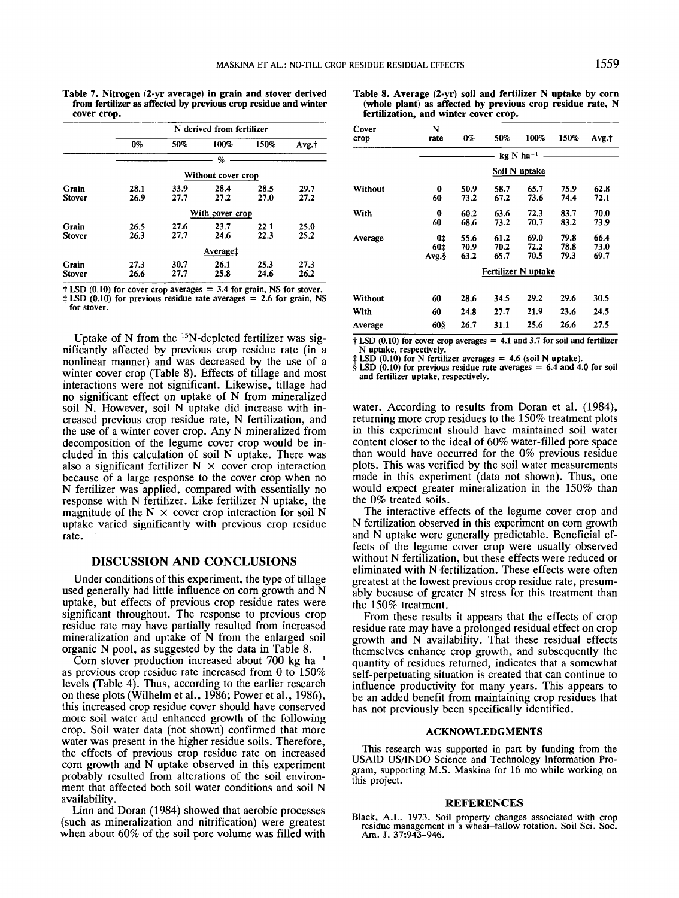**Table 7. Nitrogen (2-yr average) in grain and stover derived from fertilizer as affected by previous crop residue and winter cover crop.**

|                        | N derived from fertilizer |              |                    |              |              |  |  |  |  |
|------------------------|---------------------------|--------------|--------------------|--------------|--------------|--|--|--|--|
|                        | $0\%$                     | 50%          | 100%               | 150%         | Avg.†        |  |  |  |  |
|                        |                           |              | %                  |              |              |  |  |  |  |
|                        |                           |              | Without cover crop |              |              |  |  |  |  |
| Grain<br><b>Stover</b> | 28.1<br>26.9              | 33.9<br>27.7 | 28.4<br>27.2       | 28.5<br>27.0 | 29.7<br>27.2 |  |  |  |  |
|                        |                           |              | With cover crop    |              |              |  |  |  |  |
| Grain<br><b>Stover</b> | 26.5<br>26.3              | 27.6<br>27.7 | 23.7<br>24.6       | 22.1<br>22.3 | 25.0<br>25.2 |  |  |  |  |
|                        |                           |              | Average‡           |              |              |  |  |  |  |
| Grain<br><b>Stover</b> | 27.3<br>26.6              | 30.7<br>27.7 | 26.1<br>25.8       | 25.3<br>24.6 | 27.3<br>26.2 |  |  |  |  |

**t LSD (0.10) for cover crop averages = 3.4 for grain, NS for stover. i LSD (0.10) for previous residue rate averages = 2.6 for grain, NS for stover.**

Uptake of N from the  $15N$ -depleted fertilizer was significantly affected by previous crop residue rate (in a nonlinear manner) and was decreased by the use of a winter cover crop (Table 8). Effects of tillage and most interactions were not significant. Likewise, tillage had no significant effect on uptake of N from mineralized soil N. However, soil N uptake did increase with increased previous crop residue rate, N fertilization, and the use of a winter cover crop. Any N mineralized from decomposition of the legume cover crop would be included in this calculation of soil N uptake. There was also a significant fertilizer  $N \times \text{cover}$  crop interaction because of a large response to the cover crop when no N fertilizer was applied, compared with essentially no response with N fertilizer. Like fertilizer N uptake, the magnitude of the  $N \times$  cover crop interaction for soil N uptake varied significantly with previous crop residue rate.

# **DISCUSSION AND CONCLUSIONS**

Under conditions of this experiment, the type of tillage used generally had little influence on corn growth and N uptake, but effects of previous crop residue rates were significant throughout. The response to previous crop residue rate may have partially resulted from increased mineralization and uptake of N from the enlarged soil organic N pool, as suggested by the data in Table 8.

Corn stover production increased about 700 kg ha $^{-1}$ as previous crop residue rate increased from O to 150% levels (Table 4). Thus, according to the earlier research on these plots (Wilhelm et al., 1986; Power et al., 1986), this increased crop residue cover should have conserved more soil water and enhanced growth of the following crop. Soil water data (not shown) confirmed that more water was present in the higher residue soils. Therefore, the effects of previous crop residue rate on increased corn growth and N uptake observed in this experiment probably resulted from alterations of the soil environment that affected both soil water conditions and soil N availability.

Linn and Doran (1984) showed that aerobic processes (such as mineralization and nitrification) were greatest when about 60% of the soil pore volume was filled with

**Table 8. Average (2-yr) soil and fertilizer N uptake by corn (•whole plant) as affected by previous crop residue rate, N fertilization, and winter cover crop.**

| Cover<br>crop | N<br>rate           | 0%   | 50%  | 100%                    | 150% | Avg.† |  |  |  |
|---------------|---------------------|------|------|-------------------------|------|-------|--|--|--|
|               |                     |      |      | $kq$ N ha <sup>-1</sup> |      |       |  |  |  |
|               | Soil N uptake       |      |      |                         |      |       |  |  |  |
| Without       | 0                   | 50.9 | 58.7 | 65.7                    | 75.9 | 62.8  |  |  |  |
|               | 60                  | 73.2 | 67.2 | 73.6                    | 74.4 | 72.1  |  |  |  |
| With          | 0                   | 60.2 | 63.6 | 72.3                    | 83.7 | 70.0  |  |  |  |
|               | 60                  | 68.6 | 73.2 | 70.7                    | 83.2 | 73.9  |  |  |  |
| Average       | 0‡                  | 55.6 | 61.2 | 69.0                    | 79.8 | 66.4  |  |  |  |
|               | 60‡                 | 70.9 | 70.2 | 72.2                    | 78.8 | 73.0  |  |  |  |
|               | Avg. §              | 63.2 | 65.7 | 70.5                    | 79.3 | 69.7  |  |  |  |
|               | Fertilizer N uptake |      |      |                         |      |       |  |  |  |
| Without       | 60                  | 28.6 | 34.5 | 29.2                    | 29.6 | 30.5  |  |  |  |
| With          | 60                  | 24.8 | 27.7 | 21.9                    | 23.6 | 24.5  |  |  |  |
| Average       | 608                 | 26.7 | 31.1 | 25.6                    | 26.6 | 27.5  |  |  |  |

**t LSD (0.10) for cover crop averages = 4.1 and 3.7 for soil and fertilizer N uptake, respectively.**

**t LSD (0.10) for N fertilizer averages = 4.6 (soil N uptake).**

**§ LSD (0.10) for previous residue rate averages = 6.4 and 4.0 for soil and fertilizer uptake, respectively.**

water. According to results from Doran et al. (1984), returning more crop residues to the 150% treatment plots in this experiment should have maintained soil water content closer to the ideal of 60% water-filled pore space than would have occurred for the 0% previous residue plots. This was verified by the soil water measurements made in this experiment (data not shown). Thus, one would expect greater mineralization in the 150% than the 0% treated soils.

The interactive effects of the legume cover crop and N fertilization observed in this experiment on corn growth and N uptake were generally predictable. Beneficial effects of the legume cover crop were usually observed without N fertilization, but these effects were reduced or eliminated with N fertilization. These effects were often greatest at the lowest previous crop residue rate, presumably because of greater N stress for this treatment than the 150% treatment.

From these results it appears that the effects of crop residue rate may have a prolonged residual effect on crop growth and N availability. That these residual effects themselves enhance crop growth, and subsequently the quantity of residues returned, indicates that a somewhat self-perpetuating situation is created that can continue to influence productivity for many years. This appears to be an added benefit from maintaining crop residues that has not previously been specifically identified.

#### **ACKNOWLEDGMENTS**

This research was supported in part by funding from the USAID US/INDO Science and Technology Information Program, supporting M.S. Maskina for 16 mo while working on this project.

#### **REFERENCES**

Black, A.L. 1973. Soil property changes associated with crop ack, A.L. 1975. Soli property changes associated with crop<br>residue management in a wheat-fallow rotation. Soil Sci. Soc.<br>Am. J. 37:943-946.